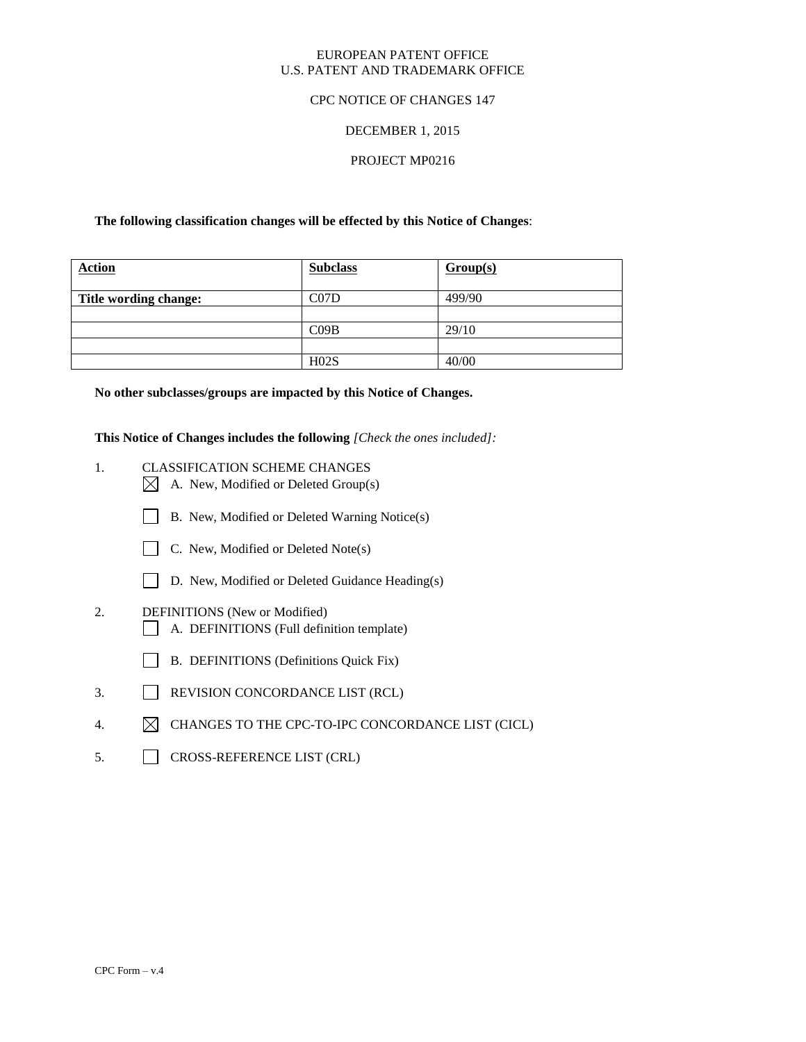## EUROPEAN PATENT OFFICE U.S. PATENT AND TRADEMARK OFFICE

## CPC NOTICE OF CHANGES 147

# DECEMBER 1, 2015

# PROJECT MP0216

## **The following classification changes will be effected by this Notice of Changes**:

| <b>Action</b>         | <b>Subclass</b> | Group(s) |
|-----------------------|-----------------|----------|
| Title wording change: | C07D            | 499/90   |
|                       |                 |          |
|                       | CO9B            | 29/10    |
|                       |                 |          |
|                       | H02S            | 40/00    |

**No other subclasses/groups are impacted by this Notice of Changes.**

**This Notice of Changes includes the following** *[Check the ones included]:*

- 1. CLASSIFICATION SCHEME CHANGES
	- $\boxtimes$  A. New, Modified or Deleted Group(s)
	- B. New, Modified or Deleted Warning Notice(s)
	- $\Box$  C. New, Modified or Deleted Note(s)
	- D. New, Modified or Deleted Guidance Heading(s)
- 2. DEFINITIONS (New or Modified)
	- A. DEFINITIONS (Full definition template)
	- B. DEFINITIONS (Definitions Quick Fix)
- 3. REVISION CONCORDANCE LIST (RCL)
- 4.  $\boxtimes$  CHANGES TO THE CPC-TO-IPC CONCORDANCE LIST (CICL)
- 5. CROSS-REFERENCE LIST (CRL)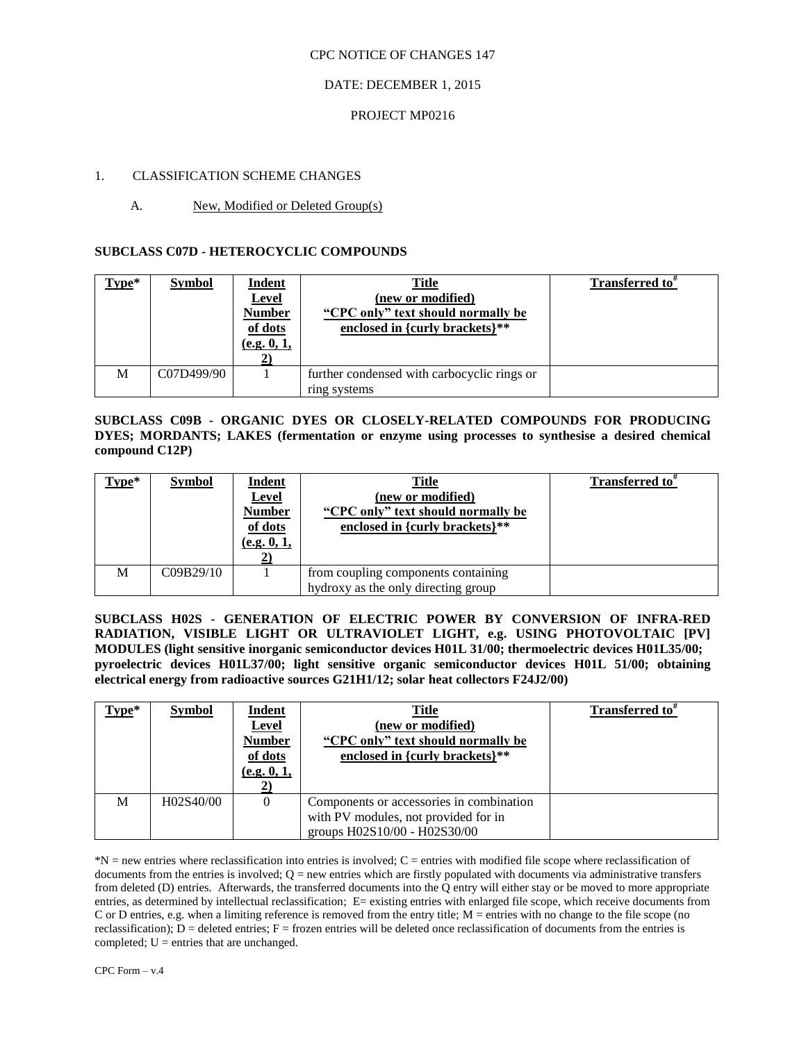## CPC NOTICE OF CHANGES 147

# DATE: DECEMBER 1, 2015

# PROJECT MP0216

# 1. CLASSIFICATION SCHEME CHANGES

# A. New, Modified or Deleted Group(s)

# **SUBCLASS C07D - HETEROCYCLIC COMPOUNDS**

| Type* | <b>Symbol</b> | <b>Indent</b><br><b>Level</b><br><b>Number</b><br>of dots<br>(e.g. 0, 1, | Title<br>(new or modified)<br>"CPC only" text should normally be<br>enclosed in {curly brackets}** | Transferred to <sup>*</sup> |
|-------|---------------|--------------------------------------------------------------------------|----------------------------------------------------------------------------------------------------|-----------------------------|
| M     | C07D499/90    |                                                                          | further condensed with carbocyclic rings or<br>ring systems                                        |                             |

**SUBCLASS C09B - ORGANIC DYES OR CLOSELY-RELATED COMPOUNDS FOR PRODUCING DYES; MORDANTS; LAKES (fermentation or enzyme using processes to synthesise a desired chemical compound C12P)**

| Type* | <b>Symbol</b> | <b>Indent</b><br><b>Level</b><br><b>Number</b><br>of dots<br>(e.g. 0, 1, | <b>Title</b><br>(new or modified)<br>"CPC only" text should normally be<br>enclosed in {curly brackets}** | Transferred to <sup>*</sup> |
|-------|---------------|--------------------------------------------------------------------------|-----------------------------------------------------------------------------------------------------------|-----------------------------|
| М     | C09B29/10     |                                                                          | from coupling components containing<br>hydroxy as the only directing group                                |                             |

**SUBCLASS H02S - GENERATION OF ELECTRIC POWER BY CONVERSION OF INFRA-RED RADIATION, VISIBLE LIGHT OR ULTRAVIOLET LIGHT, e.g. USING PHOTOVOLTAIC [PV] MODULES (light sensitive inorganic semiconductor devices H01L 31/00; thermoelectric devices H01L35/00; pyroelectric devices H01L37/00; light sensitive organic semiconductor devices H01L 51/00; obtaining electrical energy from radioactive sources G21H1/12; solar heat collectors F24J2/00)**

| $Type*$ | <b>Symbol</b> | <u>Indent</u><br><b>Level</b><br><b>Number</b><br>of dots<br>(e.g. 0, 1, | <b>Title</b><br>(new or modified)<br>"CPC only" text should normally be<br>enclosed in {curly brackets}**        | <b>Transferred</b> to <sup>#</sup> |
|---------|---------------|--------------------------------------------------------------------------|------------------------------------------------------------------------------------------------------------------|------------------------------------|
| М       | H02S40/00     | 0                                                                        | Components or accessories in combination<br>with PV modules, not provided for in<br>groups H02S10/00 - H02S30/00 |                                    |

\*N = new entries where reclassification into entries is involved; C = entries with modified file scope where reclassification of documents from the entries is involved;  $Q =$  new entries which are firstly populated with documents via administrative transfers from deleted (D) entries. Afterwards, the transferred documents into the Q entry will either stay or be moved to more appropriate entries, as determined by intellectual reclassification; E= existing entries with enlarged file scope, which receive documents from C or D entries, e.g. when a limiting reference is removed from the entry title; M = entries with no change to the file scope (no reclassification);  $\overline{D}$  = deleted entries; F = frozen entries will be deleted once reclassification of documents from the entries is completed;  $U =$  entries that are unchanged.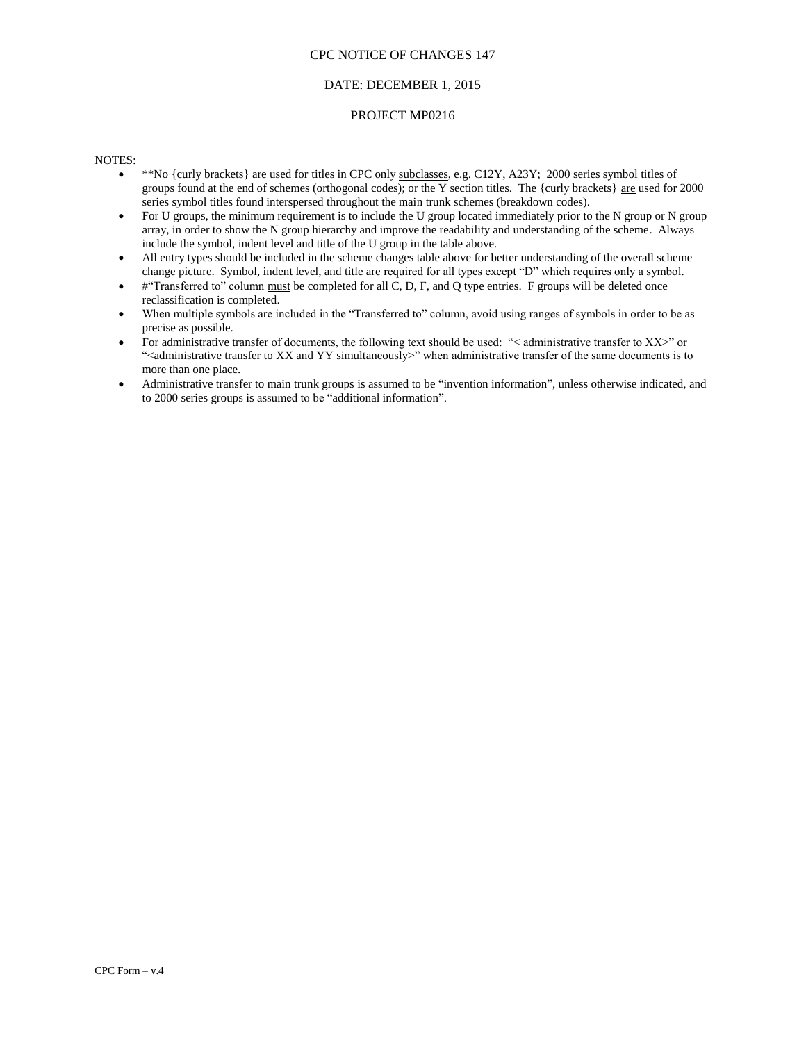#### CPC NOTICE OF CHANGES 147

## DATE: DECEMBER 1, 2015

#### PROJECT MP0216

#### NOTES:

- \*\*No {curly brackets} are used for titles in CPC only subclasses, e.g. C12Y, A23Y; 2000 series symbol titles of groups found at the end of schemes (orthogonal codes); or the Y section titles. The {curly brackets} are used for 2000 series symbol titles found interspersed throughout the main trunk schemes (breakdown codes).
- For U groups, the minimum requirement is to include the U group located immediately prior to the N group or N group array, in order to show the N group hierarchy and improve the readability and understanding of the scheme. Always include the symbol, indent level and title of the U group in the table above.
- All entry types should be included in the scheme changes table above for better understanding of the overall scheme change picture. Symbol, indent level, and title are required for all types except "D" which requires only a symbol.
- #"Transferred to" column must be completed for all C, D, F, and Q type entries. F groups will be deleted once reclassification is completed.
- When multiple symbols are included in the "Transferred to" column, avoid using ranges of symbols in order to be as precise as possible.
- For administrative transfer of documents, the following text should be used: "< administrative transfer to XX>" or "<administrative transfer to XX and YY simultaneously>" when administrative transfer of the same documents is to more than one place.
- Administrative transfer to main trunk groups is assumed to be "invention information", unless otherwise indicated, and to 2000 series groups is assumed to be "additional information".